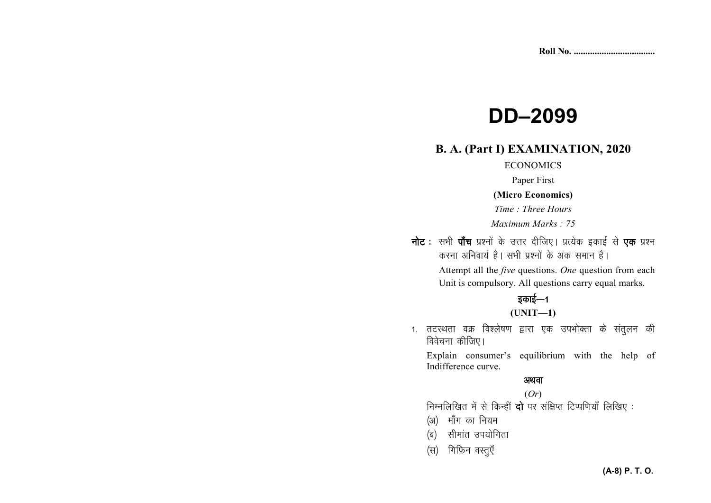# **DD-2099**

#### **B. A. (Part I) EXAMINATION, 2020**

#### **ECONOMICS**

Paper First

#### (Micro Economics)

Time: Three Hours

Maximum Marks: 75

नोट : सभी पाँच प्रश्नों के उत्तर दीजिए। प्रत्येक इकाई से एक प्रश्न करना अनिवार्य है। सभी प्रश्नों के अंक समान हैं।

> Attempt all the *five* questions. One question from each Unit is compulsory. All questions carry equal marks.

## इकाई—1

#### $(UNIT-1)$

1. तटस्थता वक्र विश्लेषण द्वारा एक उपभोक्ता के संतुलन की विवेचना कीजिए।

Explain consumer's equilibrium with the help of Indifference curve.

#### अथवा

#### $(Or)$

निम्नलिखित में से किन्हीं दो पर संक्षिप्त टिप्पणियाँ लिखिए:

- (अ) माँग का नियम
- (ब) सीमांत उपयोगिता
- (स) गिफिन वस्तुएँ